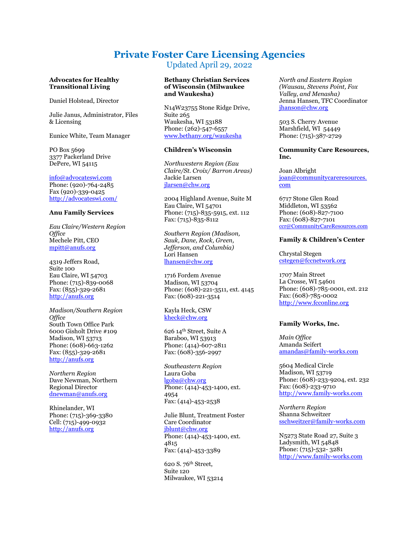# **Private Foster Care Licensing Agencies** Updated April 29, 2022

**Advocates for Healthy Transitional Living**

Daniel Holstead, Director

Julie Janus, Administrator, Files & Licensing

Eunice White, Team Manager

PO Box 5699 3377 Packerland Drive DePere, WI 54115

[info@advocateswi.com](mailto:info@advocateswi.com)  Phone: (920)-764-2485 Fax (920)-339-0425 <http://advocateswi.com/>

#### **Anu Family Services**

*Eau Claire/Western Region Office*  Mechele Pitt, CEO [mpitt@anufs.org](mailto:mpitt@anufs.org)

4319 Jeffers Road, Suite 100 Eau Claire, WI 54703 Phone: (715)-839-0068 Fax: (855)-329-2681 [http://anufs.org](http://anufs.org/)

*Madison/Southern Region Office* South Town Office Park 6000 Gisholt Drive #109 Madison, WI 53713 Phone: (608)-663-1262 Fax: (855)-329-2681 [http://anufs.org](http://anufs.org/)

*Northern Region* Dave Newman, Northern Regional Director [dnewman@anufs.org](mailto:dnewman@anufs.org) 

Rhinelander, WI Phone: (715)-369-3380 Cell: (715)-499-0932 [http://anufs.org](http://anufs.org/)

## **Bethany Christian Services of Wisconsin (Milwaukee and Waukesha)**

N14W23755 Stone Ridge Drive, Suite 265 Waukesha, WI 53188 Phone: (262)-547-6557 [www.bethany.org/waukesha](http://www.bethany.org/waukesha)

# **Children's Wisconsin**

*Northwestern Region (Eau Claire/St. Croix/ Barron Areas)* Jackie Larsen [jlarsen@chw.org](mailto:jlarsen@chw.org)

2004 Highland Avenue, Suite M Eau Claire, WI 54701 Phone: (715)-835-5915, ext. 112 Fax: (715)-835-8112

*Southern Region (Madison, Sauk, Dane, Rock, Green, Jefferson, and Columbia)* Lori Hansen [lhansen@chw.org](mailto:lhansen@chw.org)

1716 Fordem Avenue Madison, WI 53704 Phone: (608)-221-3511, ext. 4145 Fax: (608)-221-3514

Kayla Heck, CSW [kheck@chw.org](mailto:kheck@chw.org)

626 14th Street, Suite A Baraboo, WI 53913 Phone: (414)-607-2811 Fax: (608)-356-2997

*Southeastern Region* Laura Goba [lgoba@chw.org](mailto:lgoba@chw.org) Phone: (414)-453-1400, ext. 4954 Fax: (414)-453-2538

Julie Blunt, Treatment Foster Care Coordinator [jblunt@chw.org](mailto:jblunt@chw.org) Phone: (414)-453-1400, ext. 4815 Fax: (414)-453-3389

620 S. 76th Street, Suite 120 Milwaukee, WI 53214 *North and Eastern Region (Wausau, Stevens Point, Fox Valley, and Menasha)* Jenna Hansen, TFC Coordinator [jhanson@chw.org](mailto:jhanson@chw.org)

503 S. Cherry Avenue Marshfield, WI 54449 Phone: (715)-387-2729

# **Community Care Resources, Inc.**

Joan Albright [joan@communitycareresources.](mailto:joan@communitycareresources.com) [com](mailto:joan@communitycareresources.com)

6717 Stone Glen Road Middleton, WI 53562 Phone: (608)-827-7100 Fax: (608)-827-7101 [ccr@CommunityCareResources.com](mailto:ccr@CommunityCareResources.com)

# **Family & Children's Center**

Chrystal Stegen [cstegen@fccnetwork.org](mailto:cstegen@fccnetwork.org)

1707 Main Street La Crosse, WI 54601 Phone: (608)-785-0001, ext. 212 Fax: (608)-785-0002 [http://www.fcconline.org](http://www.fcconline.org/)

#### **Family Works, Inc.**

*Main Office* Amanda Seifert [amandas@family-works.com](mailto:amandas@family-works.com)

5604 Medical Circle Madison, WI 53719 Phone: (608)-233-9204, ext. 232 Fax: (608)-233-9710 [http://www.family-works.com](http://www.family-works.com/)

*Northern Region* Shanna Schweitzer [sschweitzer@family-works.com](mailto:sschweitzer@family-works.com)

N5273 State Road 27, Suite 3 Ladysmith, WI 54848 Phone: (715)-532- 3281 [http://www.family-works.com](http://www.family-works.com/)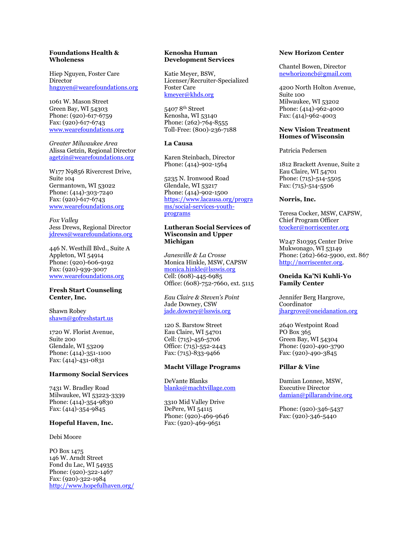# **Foundations Health & Wholeness**

Hiep Nguyen, Foster Care Director [hnguyen@wearefoundations.org](mailto:hnguyen@wearefoundations.org)

1061 W. Mason Street Green Bay, WI 54303 Phone: (920)-617-6759 Fax: (920)-617-6743 [www.wearefoundations.org](http://www.wearefoundations.org/)

*Greater Milwaukee Area* Alissa Getzin, Regional Director [agetzin@wearefoundations.org](mailto:agetzin@wearefoundations.org)

W177 N9856 Rivercrest Drive, Suite 104 Germantown, WI 53022 Phone: (414)-303-7240 Fax: (920)-617-6743 [www.wearefoundations.org](http://www.wearefoundations.org/)

*Fox Valley* Jess Drews, Regional Director [jdrews@wearefoundations.org](mailto:jdrews@wearefoundations.org)

446 N. Westhill Blvd., Suite A Appleton, WI 54914 Phone: (920)-606-9192 Fax: (920)-939-3007 [www.wearefoundations.org](http://www.wearefoundations.org/)

#### **Fresh Start Counseling Center, Inc.**

Shawn Robey [shawn@gofreshstart.us](mailto:shawn@gofreshstart.us)

1720 W. Florist Avenue, Suite 200 Glendale, WI 53209 Phone: (414)-351-1100 Fax: (414)-431-0831

#### **Harmony Social Services**

7431 W. Bradley Road Milwaukee, WI 53223-3339 Phone: (414)-354-9830 Fax: (414)-354-9845

#### **Hopeful Haven, Inc.**

Debi Moore

PO Box 1475 146 W. Arndt Street Fond du Lac, WI 54935 Phone: (920)-322-1467 Fax: (920)-322-1984 <http://www.hopefulhaven.org/>

#### **Kenosha Human Development Services**

Katie Meyer, BSW, Licenser/Recruiter-Specialized Foster Care [kmeyer@khds.org](mailto:kmeyer@khds.org)

5407 8th Street Kenosha, WI 53140 Phone: (262)-764-8555 Toll-Free: (800)-236-7188

# **La Causa**

Karen Steinbach, Director Phone: (414)-902-1564

5235 N. Ironwood Road Glendale, WI 53217 Phone: (414)-902-1500 [https://www.lacausa.org/progra](https://www.lacausa.org/programs/social-services-youth-programs) [ms/social-services-youth](https://www.lacausa.org/programs/social-services-youth-programs)[programs](https://www.lacausa.org/programs/social-services-youth-programs)

# **Lutheran Social Services of Wisconsin and Upper Michigan**

*Janesville & La Crosse* Monica Hinkle, MSW, CAPSW [monica.hinkle@lsswis.org](mailto:monica.hinkle@lsswis.org) Cell: (608)-445-6985 Office: (608)-752-7660, ext. 5115

*Eau Claire & Steven's Point*  Jade Downey, CSW [jade.downey@lsswis.org](mailto:jade.downey@lsswis.org)

120 S. Barstow Street Eau Claire, WI 54701 Cell: (715)-456-5706 Office: (715)-552-2443 Fax: (715)-833-9466

# **Macht Village Programs**

DeVante Blanks [blanks@machtvillage.com](mailto:blanks@machtvillage.com)

3310 Mid Valley Drive DePere, WI 54115 Phone: (920)-469-9646 Fax: (920)-469-9651

# **New Horizon Center**

Chantel Bowen, Director [newhorizoncb@gmail.com](mailto:newhorizoncb@gmail.com)

4200 North Holton Avenue, Suite 100 Milwaukee, WI 53202 Phone: (414)-962-4000 Fax: (414)-962-4003

## **New Vision Treatment Homes of Wisconsin**

Patricia Pedersen

1812 Brackett Avenue, Suite 2 Eau Claire, WI 54701 Phone: (715)-514-5505 Fax: (715)-514-5506

# **Norris, Inc.**

Teresa Cocker, MSW, CAPSW, Chief Program Officer [tcocker@norriscenter.org](mailto:tcocker@norriscenter.org)

W247 S10395 Center Drive Mukwonago, WI 53149 Phone: (262)-662-5900, ext. 867 [http://norriscenter.org.](http://norriscenter.org/) 

# **Oneida Ka'Ni Kuhli-Yo Family Center**

Jennifer Berg Hargrove, Coordinator [jhargrove@oneidanation.org](mailto:jhargrove@oneidanation.org)

2640 Westpoint Road PO Box 365 Green Bay, WI 54304 Phone: (920)-490-3790 Fax: (920)-490-3845

#### **Pillar & Vine**

Damian Lonnee, MSW, Executive Director [damian@pillarandvine.org](mailto:damian@pillarandvine.org)

Phone: (920)-346-5437 Fax: (920)-346-5440